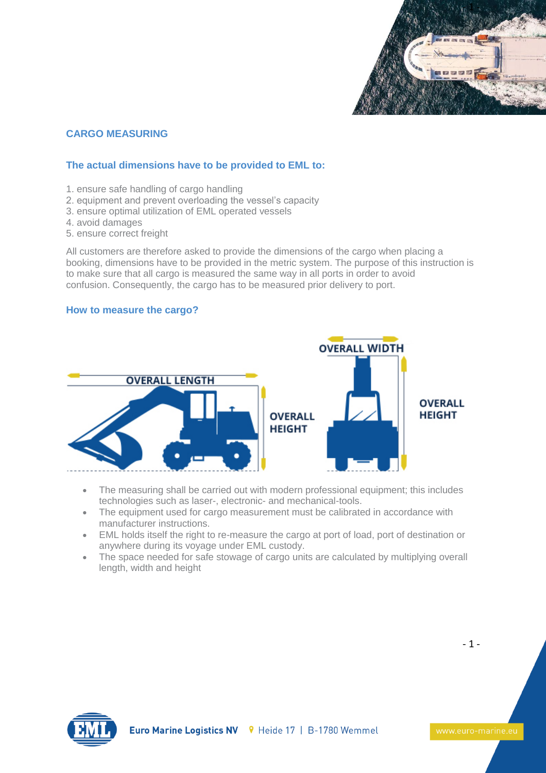

# **CARGO MEASURING**

### **The actual dimensions have to be provided to EML to:**

- 1. ensure safe handling of cargo handling
- 2. equipment and prevent overloading the vessel's capacity
- 3. ensure optimal utilization of EML operated vessels
- 4. avoid damages
- 5. ensure correct freight

All customers are therefore asked to provide the dimensions of the cargo when placing a booking, dimensions have to be provided in the metric system. The purpose of this instruction is to make sure that all cargo is measured the same way in all ports in order to avoid confusion. Consequently, the cargo has to be measured prior delivery to port.

#### **How to measure the cargo?**



- The measuring shall be carried out with modern professional equipment; this includes technologies such as laser-, electronic- and mechanical-tools.
- The equipment used for cargo measurement must be calibrated in accordance with manufacturer instructions.
- EML holds itself the right to re-measure the cargo at port of load, port of destination or anywhere during its voyage under EML custody.
- The space needed for safe stowage of cargo units are calculated by multiplying overall length, width and height



- 1 -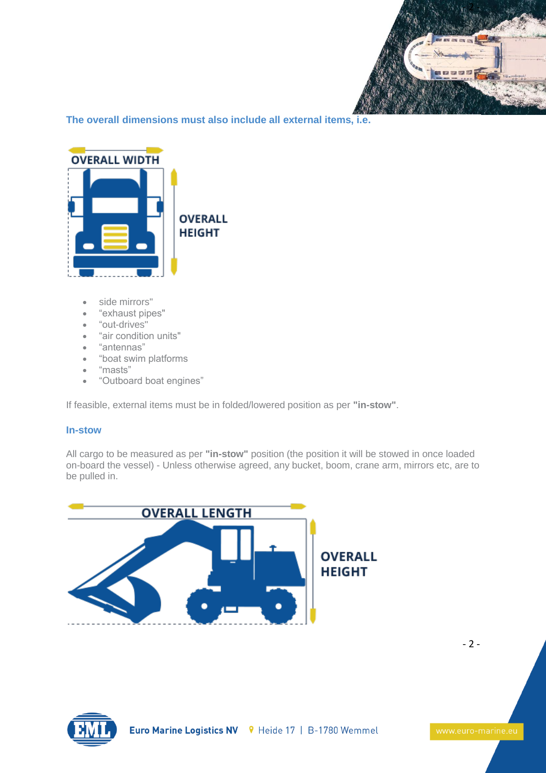

**The overall dimensions must also include all external items, i.e.**



- side mirrors"
- "exhaust pipes"
- "out-drives"
- "air condition units"
- "antennas"
- "boat swim platforms
- "masts"
- "Outboard boat engines"

If feasible, external items must be in folded/lowered position as per **"in-stow"**.

#### **In-stow**

All cargo to be measured as per **"in-stow"** position (the position it will be stowed in once loaded on-board the vessel) - Unless otherwise agreed, any bucket, boom, crane arm, mirrors etc, are to be pulled in.





- 2 -